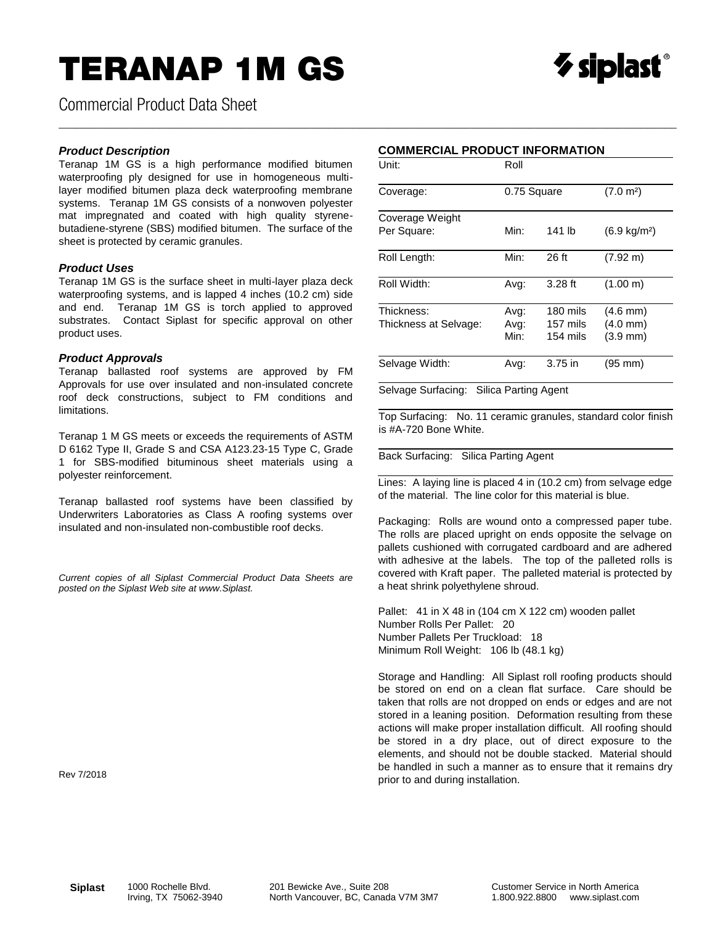## TERANAP 1M GS



Commercial Product Data Sheet

#### *Product Description*

Teranap 1M GS is a high performance modified bitumen waterproofing ply designed for use in homogeneous multilayer modified bitumen plaza deck waterproofing membrane systems. Teranap 1M GS consists of a nonwoven polyester mat impregnated and coated with high quality styrenebutadiene-styrene (SBS) modified bitumen. The surface of the sheet is protected by ceramic granules.

#### *Product Uses*

Teranap 1M GS is the surface sheet in multi-layer plaza deck waterproofing systems, and is lapped 4 inches (10.2 cm) side and end. Teranap 1M GS is torch applied to approved substrates. Contact Siplast for specific approval on other product uses.

#### *Product Approvals*

Teranap ballasted roof systems are approved by FM Approvals for use over insulated and non-insulated concrete roof deck constructions, subject to FM conditions and limitations.

Teranap 1 M GS meets or exceeds the requirements of ASTM D 6162 Type II, Grade S and CSA A123.23-15 Type C, Grade 1 for SBS-modified bituminous sheet materials using a polyester reinforcement.

Teranap ballasted roof systems have been classified by Underwriters Laboratories as Class A roofing systems over insulated and non-insulated non-combustible roof decks.

*Current copies of all Siplast Commercial Product Data Sheets are posted on the Siplast Web site at www.Siplast.*

#### Rev 7/2018

### **COMMERCIAL PRODUCT INFORMATION**

\_\_\_\_\_\_\_\_\_\_\_\_\_\_\_\_\_\_\_\_\_\_\_\_\_\_\_\_\_\_\_\_\_\_\_\_\_\_\_\_\_\_\_\_\_\_\_\_\_\_\_\_\_\_\_\_\_\_\_\_\_\_\_\_\_\_\_\_\_\_\_\_\_\_\_\_\_\_\_\_\_\_\_\_\_\_\_\_\_\_\_\_\_\_\_\_\_\_\_\_\_\_\_\_\_

| Unit:                               | Roll                 |                                  |                                                                |
|-------------------------------------|----------------------|----------------------------------|----------------------------------------------------------------|
| Coverage:                           | 0.75 Square          |                                  | (7.0 m <sup>2</sup> )                                          |
| Coverage Weight<br>Per Square:      | Min:                 | 141 lb                           | $(6.9 \text{ kg/m}^2)$                                         |
| Roll Length:                        | Min:                 | 26 ft                            | $(7.92 \text{ m})$                                             |
| Roll Width:                         | Avg:                 | $3.28$ ft                        | (1.00 m)                                                       |
| Thickness:<br>Thickness at Selvage: | Avg:<br>Avg:<br>Min: | 180 mils<br>157 mils<br>154 mils | $(4.6 \text{ mm})$<br>$(4.0 \text{ mm})$<br>$(3.9 \text{ mm})$ |
| Selvage Width:                      | Avg:                 | $3.75$ in                        | $(95 \text{ mm})$                                              |

Selvage Surfacing: Silica Parting Agent

Top Surfacing: No. 11 ceramic granules, standard color finish is #A-720 Bone White.

Back Surfacing: Silica Parting Agent

Lines: A laying line is placed 4 in (10.2 cm) from selvage edge of the material. The line color for this material is blue.

Packaging: Rolls are wound onto a compressed paper tube. The rolls are placed upright on ends opposite the selvage on pallets cushioned with corrugated cardboard and are adhered with adhesive at the labels. The top of the palleted rolls is covered with Kraft paper. The palleted material is protected by a heat shrink polyethylene shroud.

Pallet: 41 in X 48 in (104 cm X 122 cm) wooden pallet Number Rolls Per Pallet: 20 Number Pallets Per Truckload: 18 Minimum Roll Weight: 106 lb (48.1 kg)

Storage and Handling: All Siplast roll roofing products should be stored on end on a clean flat surface. Care should be taken that rolls are not dropped on ends or edges and are not stored in a leaning position. Deformation resulting from these actions will make proper installation difficult. All roofing should be stored in a dry place, out of direct exposure to the elements, and should not be double stacked. Material should be handled in such a manner as to ensure that it remains dry prior to and during installation.

**Siplast** 1000 Rochelle Blvd.